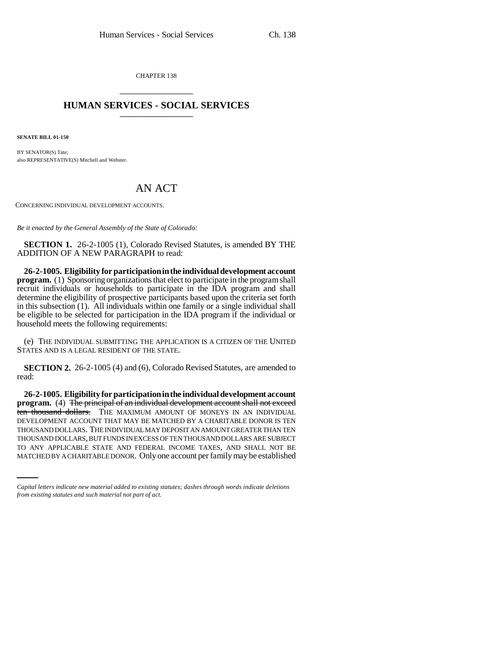CHAPTER 138 \_\_\_\_\_\_\_\_\_\_\_\_\_\_\_

## **HUMAN SERVICES - SOCIAL SERVICES** \_\_\_\_\_\_\_\_\_\_\_\_\_\_\_

**SENATE BILL 01-150**

BY SENATOR(S) Tate; also REPRESENTATIVE(S) Mitchell and Webster.

## AN ACT

CONCERNING INDIVIDUAL DEVELOPMENT ACCOUNTS.

*Be it enacted by the General Assembly of the State of Colorado:*

**SECTION 1.** 26-2-1005 (1), Colorado Revised Statutes, is amended BY THE ADDITION OF A NEW PARAGRAPH to read:

**26-2-1005. Eligibility for participation in the individual development account program.** (1) Sponsoring organizations that elect to participate in the program shall recruit individuals or households to participate in the IDA program and shall determine the eligibility of prospective participants based upon the criteria set forth in this subsection (1). All individuals within one family or a single individual shall be eligible to be selected for participation in the IDA program if the individual or household meets the following requirements:

(e) THE INDIVIDUAL SUBMITTING THE APPLICATION IS A CITIZEN OF THE UNITED STATES AND IS A LEGAL RESIDENT OF THE STATE.

**SECTION 2.** 26-2-1005 (4) and (6), Colorado Revised Statutes, are amended to read:

THOUSAND DOLLARS, BUT FUNDS IN EXCESS OF TEN THOUSAND DOLLARS ARE SUBJECT **26-2-1005. Eligibility for participation in the individual development account** program. (4) The principal of an individual development account shall not exceed ten thousand dollars. THE MAXIMUM AMOUNT OF MONEYS IN AN INDIVIDUAL DEVELOPMENT ACCOUNT THAT MAY BE MATCHED BY A CHARITABLE DONOR IS TEN THOUSAND DOLLARS. THE INDIVIDUAL MAY DEPOSIT AN AMOUNT GREATER THAN TEN TO ANY APPLICABLE STATE AND FEDERAL INCOME TAXES, AND SHALL NOT BE MATCHED BY A CHARITABLE DONOR. Only one account per family may be established

*Capital letters indicate new material added to existing statutes; dashes through words indicate deletions from existing statutes and such material not part of act.*